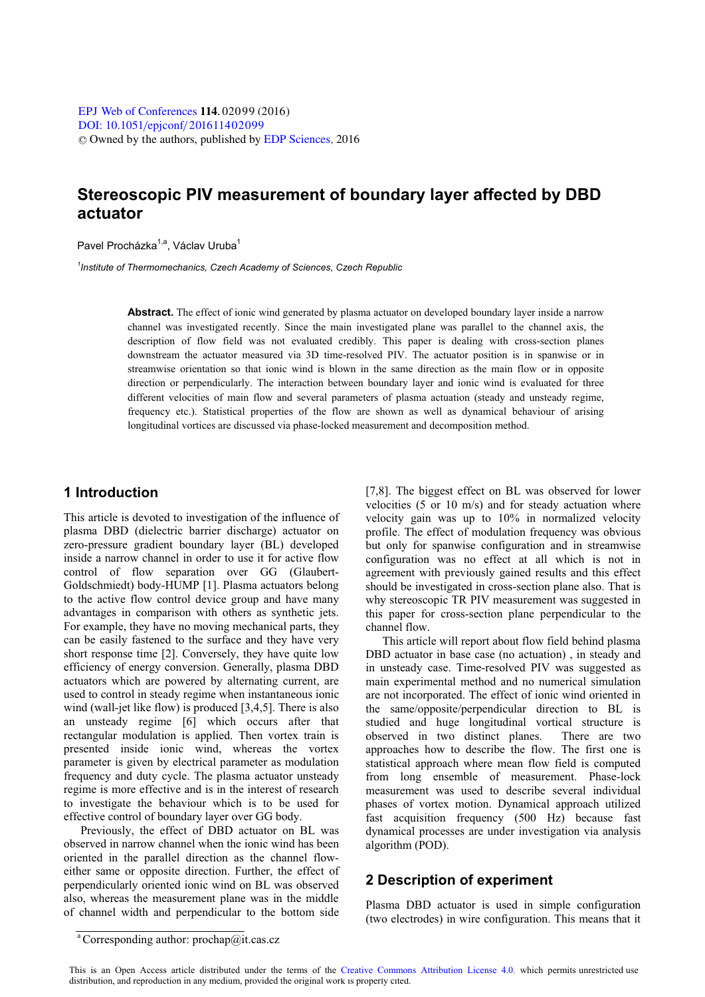# **Stereoscopic PIV measurement of boundary layer affected by DBD actuator**

Pavel Procházka<sup>1,a</sup>, Václav Uruba<sup>1</sup>

*1 Institute of Thermomechanics, Czech Academy of Sciences, Czech Republic* 

**Abstract.** The effect of ionic wind generated by plasma actuator on developed boundary layer inside a narrow channel was investigated recently. Since the main investigated plane was parallel to the channel axis, the description of flow field was not evaluated credibly. This paper is dealing with cross-section planes downstream the actuator measured via 3D time-resolved PIV. The actuator position is in spanwise or in streamwise orientation so that ionic wind is blown in the same direction as the main flow or in opposite direction or perpendicularly. The interaction between boundary layer and ionic wind is evaluated for three different velocities of main flow and several parameters of plasma actuation (steady and unsteady regime, frequency etc.). Statistical properties of the flow are shown as well as dynamical behaviour of arising longitudinal vortices are discussed via phase-locked measurement and decomposition method.

## **1 Introduction**

This article is devoted to investigation of the influence of plasma DBD (dielectric barrier discharge) actuator on zero-pressure gradient boundary layer (BL) developed inside a narrow channel in order to use it for active flow control of flow separation over GG (Glaubert-Goldschmiedt) body-HUMP [1]. Plasma actuators belong to the active flow control device group and have many advantages in comparison with others as synthetic jets. For example, they have no moving mechanical parts, they can be easily fastened to the surface and they have very short response time [2]. Conversely, they have quite low efficiency of energy conversion. Generally, plasma DBD actuators which are powered by alternating current, are used to control in steady regime when instantaneous ionic wind (wall-jet like flow) is produced [3,4,5]. There is also an unsteady regime [6] which occurs after that rectangular modulation is applied. Then vortex train is presented inside ionic wind, whereas the vortex parameter is given by electrical parameter as modulation frequency and duty cycle. The plasma actuator unsteady regime is more effective and is in the interest of research to investigate the behaviour which is to be used for effective control of boundary layer over GG body.

Previously, the effect of DBD actuator on BL was observed in narrow channel when the ionic wind has been oriented in the parallel direction as the channel floweither same or opposite direction. Further, the effect of perpendicularly oriented ionic wind on BL was observed also, whereas the measurement plane was in the middle of channel width and perpendicular to the bottom side [7,8]. The biggest effect on BL was observed for lower velocities (5 or 10 m/s) and for steady actuation where velocity gain was up to 10% in normalized velocity profile. The effect of modulation frequency was obvious but only for spanwise configuration and in streamwise configuration was no effect at all which is not in agreement with previously gained results and this effect should be investigated in cross-section plane also. That is why stereoscopic TR PIV measurement was suggested in this paper for cross-section plane perpendicular to the channel flow.

This article will report about flow field behind plasma DBD actuator in base case (no actuation) , in steady and in unsteady case. Time-resolved PIV was suggested as main experimental method and no numerical simulation are not incorporated. The effect of ionic wind oriented in the same/opposite/perpendicular direction to BL is studied and huge longitudinal vortical structure is observed in two distinct planes. There are two approaches how to describe the flow. The first one is statistical approach where mean flow field is computed from long ensemble of measurement. Phase-lock measurement was used to describe several individual phases of vortex motion. Dynamical approach utilized fast acquisition frequency (500 Hz) because fast dynamical processes are under investigation via analysis algorithm (POD).

## **2 Description of experiment**

Plasma DBD actuator is used in simple configuration (two electrodes) in wire configuration. This means that it

<sup>&</sup>lt;sup>a</sup> Corresponding author: prochap@it.cas.cz

This is an Open Access article distributed under the terms of the [Creative Commons Attribution License 4.0,](http://creativecommons.org/licenses/by/4.0) which permits unrestricted use distribution, and reproduction in any medium, provided the original work is properly cited.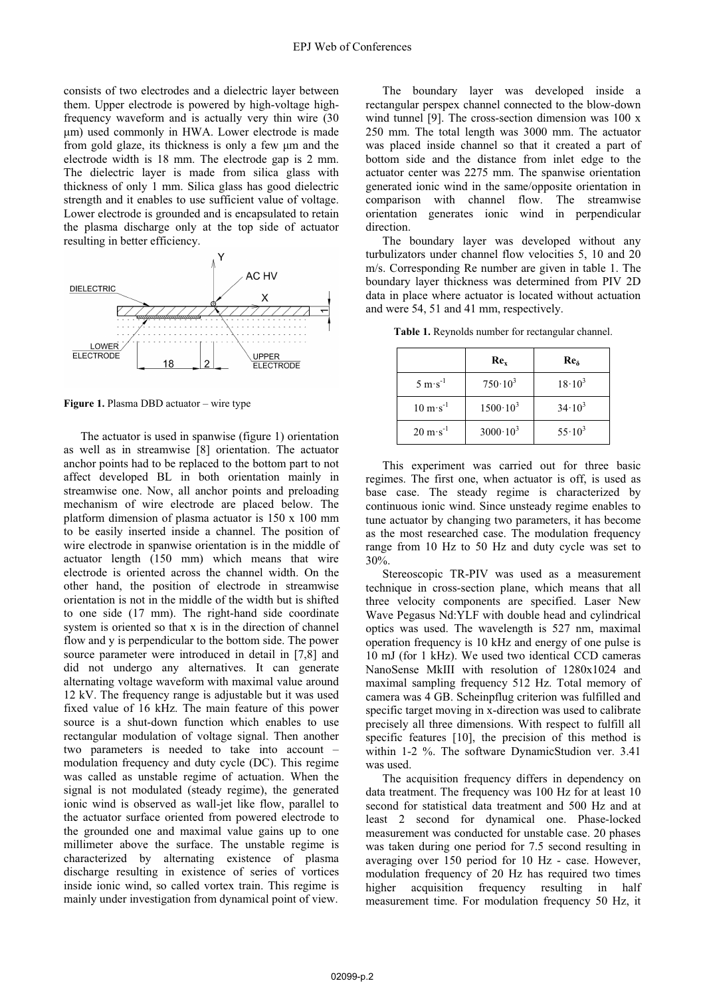consists of two electrodes and a dielectric layer between them. Upper electrode is powered by high-voltage highfrequency waveform and is actually very thin wire (30 m) used commonly in HWA. Lower electrode is made from gold glaze, its thickness is only a few  $\mu$ m and the electrode width is 18 mm. The electrode gap is 2 mm. The dielectric layer is made from silica glass with thickness of only 1 mm. Silica glass has good dielectric strength and it enables to use sufficient value of voltage. Lower electrode is grounded and is encapsulated to retain the plasma discharge only at the top side of actuator resulting in better efficiency.



**Figure 1.** Plasma DBD actuator – wire type

The actuator is used in spanwise (figure 1) orientation as well as in streamwise [8] orientation. The actuator anchor points had to be replaced to the bottom part to not affect developed BL in both orientation mainly in streamwise one. Now, all anchor points and preloading mechanism of wire electrode are placed below. The platform dimension of plasma actuator is 150 x 100 mm to be easily inserted inside a channel. The position of wire electrode in spanwise orientation is in the middle of actuator length (150 mm) which means that wire electrode is oriented across the channel width. On the other hand, the position of electrode in streamwise orientation is not in the middle of the width but is shifted to one side (17 mm). The right-hand side coordinate system is oriented so that x is in the direction of channel flow and y is perpendicular to the bottom side. The power source parameter were introduced in detail in [7,8] and did not undergo any alternatives. It can generate alternating voltage waveform with maximal value around 12 kV. The frequency range is adjustable but it was used fixed value of 16 kHz. The main feature of this power source is a shut-down function which enables to use rectangular modulation of voltage signal. Then another two parameters is needed to take into account – modulation frequency and duty cycle (DC). This regime was called as unstable regime of actuation. When the signal is not modulated (steady regime), the generated ionic wind is observed as wall-jet like flow, parallel to the actuator surface oriented from powered electrode to the grounded one and maximal value gains up to one millimeter above the surface. The unstable regime is characterized by alternating existence of plasma discharge resulting in existence of series of vortices inside ionic wind, so called vortex train. This regime is mainly under investigation from dynamical point of view.

The boundary layer was developed inside a rectangular perspex channel connected to the blow-down wind tunnel [9]. The cross-section dimension was 100 x 250 mm. The total length was 3000 mm. The actuator was placed inside channel so that it created a part of bottom side and the distance from inlet edge to the actuator center was 2275 mm. The spanwise orientation generated ionic wind in the same/opposite orientation in comparison with channel flow. The streamwise orientation generates ionic wind in perpendicular direction.

The boundary layer was developed without any turbulizators under channel flow velocities 5, 10 and 20 m/s. Corresponding Re number are given in table 1. The boundary layer thickness was determined from PIV 2D data in place where actuator is located without actuation and were 54, 51 and 41 mm, respectively.

**Table 1.** Reynolds number for rectangular channel.

|                                    | Re <sub>x</sub>   | Re <sub>δ</sub> |  |
|------------------------------------|-------------------|-----------------|--|
| $5 \text{ m} \cdot \text{s}^{-1}$  | $750 \cdot 10^3$  | $18 \cdot 10^3$ |  |
| $10 \text{ m} \cdot \text{s}^{-1}$ | $1500 \cdot 10^3$ | $34 \cdot 10^3$ |  |
| $20 \text{ m} \cdot \text{s}^{-1}$ | $3000 \cdot 10^3$ | $55 \cdot 10^3$ |  |

This experiment was carried out for three basic regimes. The first one, when actuator is off, is used as base case. The steady regime is characterized by continuous ionic wind. Since unsteady regime enables to tune actuator by changing two parameters, it has become as the most researched case. The modulation frequency range from 10 Hz to 50 Hz and duty cycle was set to 30%.

Stereoscopic TR-PIV was used as a measurement technique in cross-section plane, which means that all three velocity components are specified. Laser New Wave Pegasus Nd:YLF with double head and cylindrical optics was used. The wavelength is 527 nm, maximal operation frequency is 10 kHz and energy of one pulse is 10 mJ (for 1 kHz). We used two identical CCD cameras NanoSense MkIII with resolution of 1280x1024 and maximal sampling frequency 512 Hz. Total memory of camera was 4 GB. Scheinpflug criterion was fulfilled and specific target moving in x-direction was used to calibrate precisely all three dimensions. With respect to fulfill all specific features [10], the precision of this method is within 1-2 %. The software DynamicStudion ver. 3.41 was used.

The acquisition frequency differs in dependency on data treatment. The frequency was 100 Hz for at least 10 second for statistical data treatment and 500 Hz and at least 2 second for dynamical one. Phase-locked measurement was conducted for unstable case. 20 phases was taken during one period for 7.5 second resulting in averaging over 150 period for 10 Hz - case. However, modulation frequency of 20 Hz has required two times higher acquisition frequency resulting in half measurement time. For modulation frequency 50 Hz, it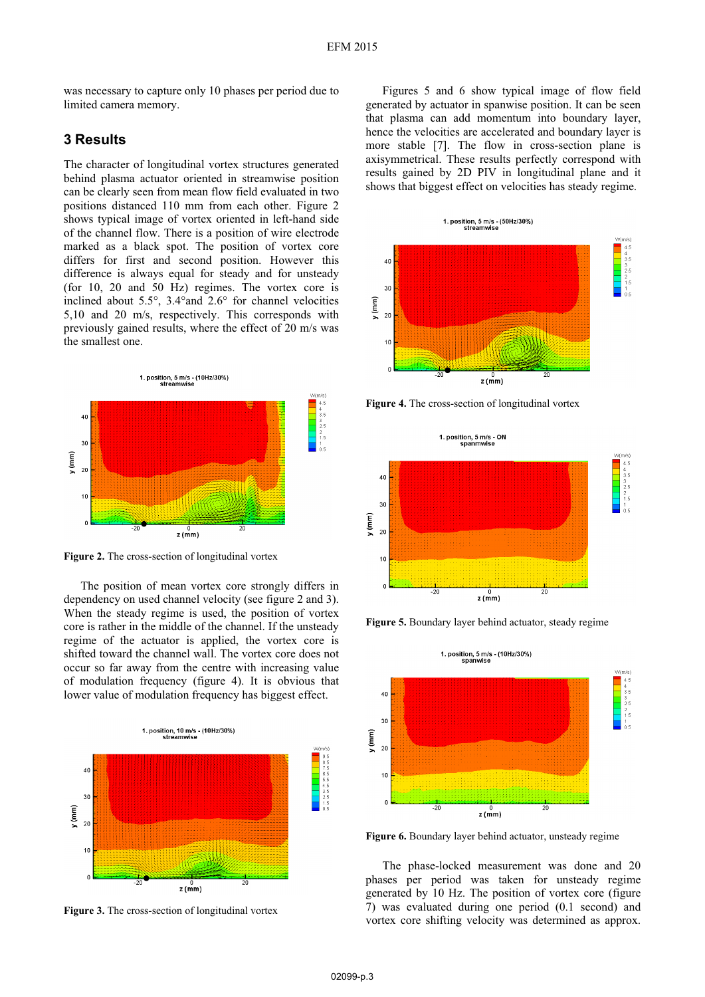was necessary to capture only 10 phases per period due to limited camera memory.

## **3 Results**

The character of longitudinal vortex structures generated behind plasma actuator oriented in streamwise position can be clearly seen from mean flow field evaluated in two positions distanced 110 mm from each other. Figure 2 shows typical image of vortex oriented in left-hand side of the channel flow. There is a position of wire electrode marked as a black spot. The position of vortex core differs for first and second position. However this difference is always equal for steady and for unsteady (for 10, 20 and 50 Hz) regimes. The vortex core is inclined about 5.5°, 3.4°and 2.6° for channel velocities 5,10 and 20 m/s, respectively. This corresponds with previously gained results, where the effect of 20 m/s was the smallest one.



**Figure 2.** The cross-section of longitudinal vortex

The position of mean vortex core strongly differs in dependency on used channel velocity (see figure 2 and 3). When the steady regime is used, the position of vortex core is rather in the middle of the channel. If the unsteady regime of the actuator is applied, the vortex core is shifted toward the channel wall. The vortex core does not occur so far away from the centre with increasing value of modulation frequency (figure 4). It is obvious that lower value of modulation frequency has biggest effect.



**Figure 3.** The cross-section of longitudinal vortex

Figures 5 and 6 show typical image of flow field generated by actuator in spanwise position. It can be seen that plasma can add momentum into boundary layer, hence the velocities are accelerated and boundary layer is more stable [7]. The flow in cross-section plane is axisymmetrical. These results perfectly correspond with results gained by 2D PIV in longitudinal plane and it shows that biggest effect on velocities has steady regime.



**Figure 4.** The cross-section of longitudinal vortex



**Figure 5.** Boundary layer behind actuator, steady regime



**Figure 6.** Boundary layer behind actuator, unsteady regime

The phase-locked measurement was done and 20 phases per period was taken for unsteady regime generated by 10 Hz. The position of vortex core (figure 7) was evaluated during one period (0.1 second) and vortex core shifting velocity was determined as approx.